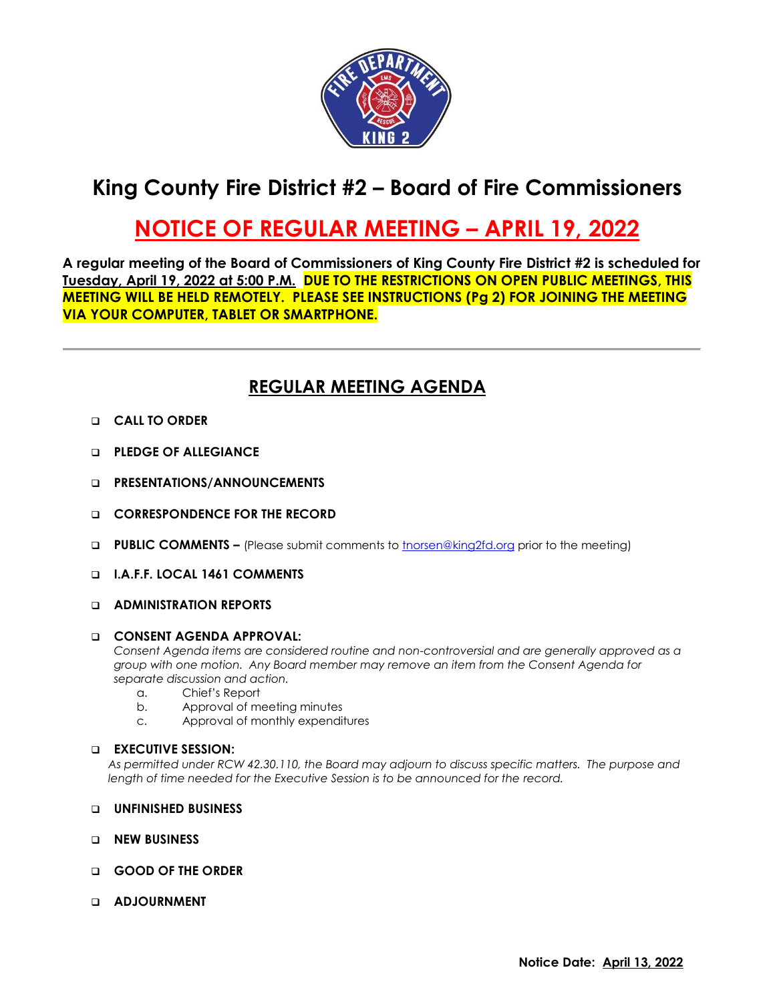

# **King County Fire District #2 – Board of Fire Commissioners**

# **NOTICE OF REGULAR MEETING – APRIL 19, 2022**

**A regular meeting of the Board of Commissioners of King County Fire District #2 is scheduled for Tuesday, April 19, 2022 at 5:00 P.M. DUE TO THE RESTRICTIONS ON OPEN PUBLIC MEETINGS, THIS MEETING WILL BE HELD REMOTELY. PLEASE SEE INSTRUCTIONS (Pg 2) FOR JOINING THE MEETING VIA YOUR COMPUTER, TABLET OR SMARTPHONE.**

## **REGULAR MEETING AGENDA**

- ❑ **CALL TO ORDER**
- ❑ **PLEDGE OF ALLEGIANCE**
- ❑ **PRESENTATIONS/ANNOUNCEMENTS**
- ❑ **CORRESPONDENCE FOR THE RECORD**
- ❑ **PUBLIC COMMENTS –** (Please submit comments to [tnorsen@king2fd.org](mailto:tnorsen@king2fd.org) prior to the meeting)
- ❑ **I.A.F.F. LOCAL 1461 COMMENTS**

### ❑ **ADMINISTRATION REPORTS**

#### ❑ **CONSENT AGENDA APPROVAL:**

*Consent Agenda items are considered routine and non-controversial and are generally approved as a group with one motion. Any Board member may remove an item from the Consent Agenda for separate discussion and action.*

- a. Chief's Report
- b. Approval of meeting minutes
- c. Approval of monthly expenditures

### ❑ **EXECUTIVE SESSION:**

*As permitted under RCW 42.30.110, the Board may adjourn to discuss specific matters. The purpose and length of time needed for the Executive Session is to be announced for the record.*

- ❑ **UNFINISHED BUSINESS**
- ❑ **NEW BUSINESS**
- ❑ **GOOD OF THE ORDER**
- ❑ **ADJOURNMENT**